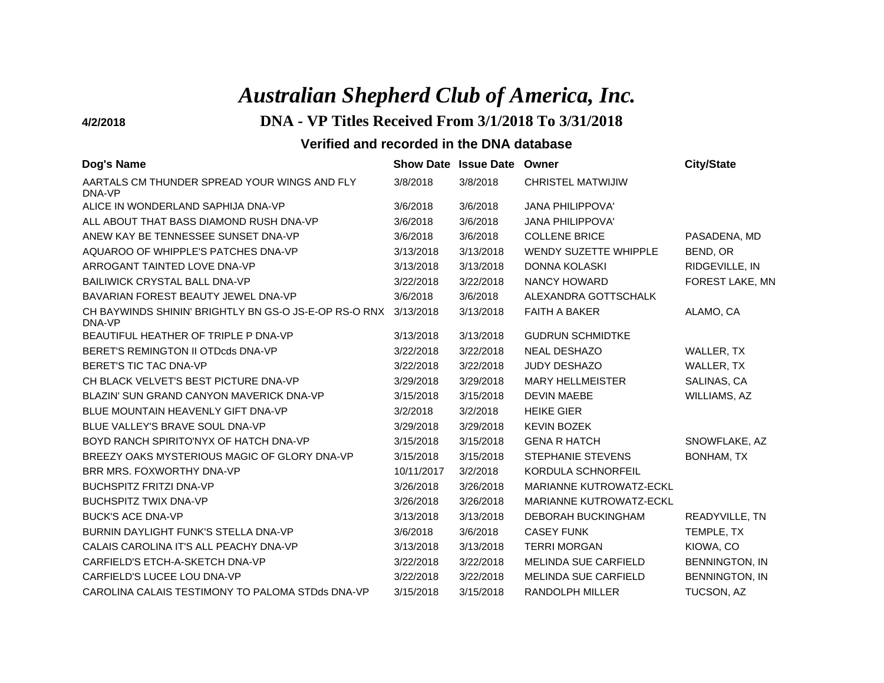# *Australian Shepherd Club of America, Inc.*

## **4/2/2018 DNA - VP Titles Received From 3/1/2018 To 3/31/2018**

| Dog's Name                                                      | <b>Show Date</b> | <b>Issue Date</b> | Owner                          | <b>City/State</b>     |
|-----------------------------------------------------------------|------------------|-------------------|--------------------------------|-----------------------|
| AARTALS CM THUNDER SPREAD YOUR WINGS AND FLY<br>DNA-VP          | 3/8/2018         | 3/8/2018          | <b>CHRISTEL MATWIJIW</b>       |                       |
| ALICE IN WONDERLAND SAPHIJA DNA-VP                              | 3/6/2018         | 3/6/2018          | <b>JANA PHILIPPOVA'</b>        |                       |
| ALL ABOUT THAT BASS DIAMOND RUSH DNA-VP                         | 3/6/2018         | 3/6/2018          | <b>JANA PHILIPPOVA'</b>        |                       |
| ANEW KAY BE TENNESSEE SUNSET DNA-VP                             | 3/6/2018         | 3/6/2018          | <b>COLLENE BRICE</b>           | PASADENA, MD          |
| AQUAROO OF WHIPPLE'S PATCHES DNA-VP                             | 3/13/2018        | 3/13/2018         | <b>WENDY SUZETTE WHIPPLE</b>   | BEND, OR              |
| ARROGANT TAINTED LOVE DNA-VP                                    | 3/13/2018        | 3/13/2018         | <b>DONNA KOLASKI</b>           | RIDGEVILLE, IN        |
| <b>BAILIWICK CRYSTAL BALL DNA-VP</b>                            | 3/22/2018        | 3/22/2018         | NANCY HOWARD                   | FOREST LAKE, MN       |
| BAVARIAN FOREST BEAUTY JEWEL DNA-VP                             | 3/6/2018         | 3/6/2018          | ALEXANDRA GOTTSCHALK           |                       |
| CH BAYWINDS SHININ' BRIGHTLY BN GS-O JS-E-OP RS-O RNX<br>DNA-VP | 3/13/2018        | 3/13/2018         | <b>FAITH A BAKER</b>           | ALAMO, CA             |
| BEAUTIFUL HEATHER OF TRIPLE P DNA-VP                            | 3/13/2018        | 3/13/2018         | <b>GUDRUN SCHMIDTKE</b>        |                       |
| BERET'S REMINGTON II OTDcds DNA-VP                              | 3/22/2018        | 3/22/2018         | <b>NEAL DESHAZO</b>            | WALLER, TX            |
| <b>BERET'S TIC TAC DNA-VP</b>                                   | 3/22/2018        | 3/22/2018         | <b>JUDY DESHAZO</b>            | WALLER, TX            |
| CH BLACK VELVET'S BEST PICTURE DNA-VP                           | 3/29/2018        | 3/29/2018         | <b>MARY HELLMEISTER</b>        | SALINAS, CA           |
| BLAZIN' SUN GRAND CANYON MAVERICK DNA-VP                        | 3/15/2018        | 3/15/2018         | <b>DEVIN MAEBE</b>             | WILLIAMS, AZ          |
| BLUE MOUNTAIN HEAVENLY GIFT DNA-VP                              | 3/2/2018         | 3/2/2018          | <b>HEIKE GIER</b>              |                       |
| BLUE VALLEY'S BRAVE SOUL DNA-VP                                 | 3/29/2018        | 3/29/2018         | <b>KEVIN BOZEK</b>             |                       |
| BOYD RANCH SPIRITO'NYX OF HATCH DNA-VP                          | 3/15/2018        | 3/15/2018         | <b>GENA R HATCH</b>            | SNOWFLAKE, AZ         |
| BREEZY OAKS MYSTERIOUS MAGIC OF GLORY DNA-VP                    | 3/15/2018        | 3/15/2018         | <b>STEPHANIE STEVENS</b>       | <b>BONHAM, TX</b>     |
| BRR MRS. FOXWORTHY DNA-VP                                       | 10/11/2017       | 3/2/2018          | KORDULA SCHNORFEIL             |                       |
| <b>BUCHSPITZ FRITZI DNA-VP</b>                                  | 3/26/2018        | 3/26/2018         | <b>MARIANNE KUTROWATZ-ECKL</b> |                       |
| <b>BUCHSPITZ TWIX DNA-VP</b>                                    | 3/26/2018        | 3/26/2018         | MARIANNE KUTROWATZ-ECKL        |                       |
| <b>BUCK'S ACE DNA-VP</b>                                        | 3/13/2018        | 3/13/2018         | <b>DEBORAH BUCKINGHAM</b>      | READYVILLE, TN        |
| BURNIN DAYLIGHT FUNK'S STELLA DNA-VP                            | 3/6/2018         | 3/6/2018          | <b>CASEY FUNK</b>              | TEMPLE, TX            |
| CALAIS CAROLINA IT'S ALL PEACHY DNA-VP                          | 3/13/2018        | 3/13/2018         | <b>TERRI MORGAN</b>            | KIOWA, CO             |
| CARFIELD'S ETCH-A-SKETCH DNA-VP                                 | 3/22/2018        | 3/22/2018         | <b>MELINDA SUE CARFIELD</b>    | <b>BENNINGTON, IN</b> |
| CARFIELD'S LUCEE LOU DNA-VP                                     | 3/22/2018        | 3/22/2018         | <b>MELINDA SUE CARFIELD</b>    | <b>BENNINGTON, IN</b> |
| CAROLINA CALAIS TESTIMONY TO PALOMA STDds DNA-VP                | 3/15/2018        | 3/15/2018         | <b>RANDOLPH MILLER</b>         | <b>TUCSON, AZ</b>     |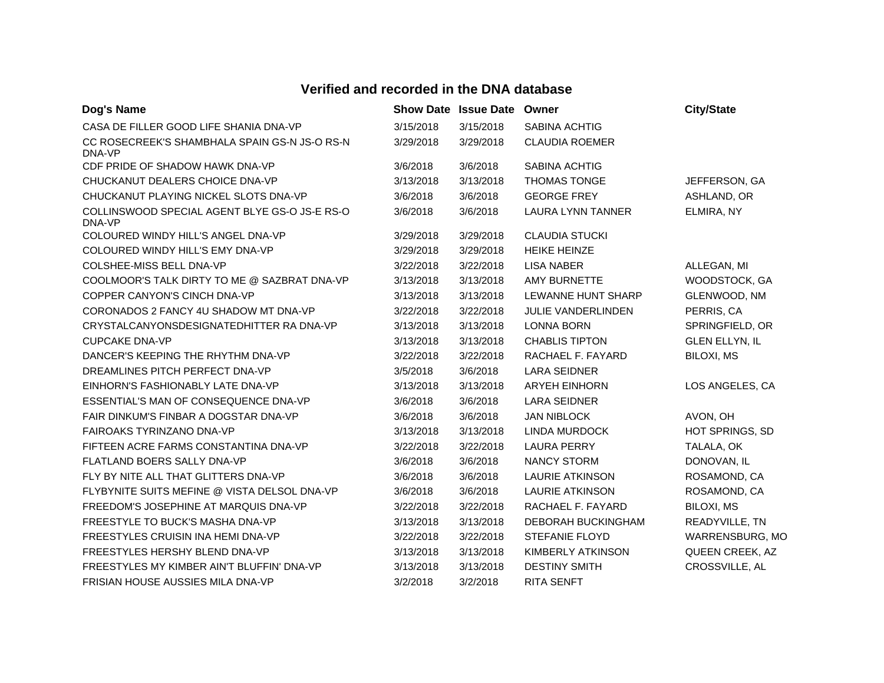| Dog's Name                                              |           | <b>Show Date Issue Date</b> | Owner                     | <b>City/State</b>     |
|---------------------------------------------------------|-----------|-----------------------------|---------------------------|-----------------------|
| CASA DE FILLER GOOD LIFE SHANIA DNA-VP                  | 3/15/2018 | 3/15/2018                   | <b>SABINA ACHTIG</b>      |                       |
| CC ROSECREEK'S SHAMBHALA SPAIN GS-N JS-O RS-N<br>DNA-VP | 3/29/2018 | 3/29/2018                   | <b>CLAUDIA ROEMER</b>     |                       |
| CDF PRIDE OF SHADOW HAWK DNA-VP                         | 3/6/2018  | 3/6/2018                    | SABINA ACHTIG             |                       |
| CHUCKANUT DEALERS CHOICE DNA-VP                         | 3/13/2018 | 3/13/2018                   | <b>THOMAS TONGE</b>       | JEFFERSON, GA         |
| CHUCKANUT PLAYING NICKEL SLOTS DNA-VP                   | 3/6/2018  | 3/6/2018                    | <b>GEORGE FREY</b>        | ASHLAND, OR           |
| COLLINSWOOD SPECIAL AGENT BLYE GS-O JS-E RS-O<br>DNA-VP | 3/6/2018  | 3/6/2018                    | LAURA LYNN TANNER         | ELMIRA, NY            |
| COLOURED WINDY HILL'S ANGEL DNA-VP                      | 3/29/2018 | 3/29/2018                   | <b>CLAUDIA STUCKI</b>     |                       |
| COLOURED WINDY HILL'S EMY DNA-VP                        | 3/29/2018 | 3/29/2018                   | <b>HEIKE HEINZE</b>       |                       |
| COLSHEE-MISS BELL DNA-VP                                | 3/22/2018 | 3/22/2018                   | <b>LISA NABER</b>         | ALLEGAN, MI           |
| COOLMOOR'S TALK DIRTY TO ME @ SAZBRAT DNA-VP            | 3/13/2018 | 3/13/2018                   | <b>AMY BURNETTE</b>       | WOODSTOCK, GA         |
| COPPER CANYON'S CINCH DNA-VP                            | 3/13/2018 | 3/13/2018                   | LEWANNE HUNT SHARP        | GLENWOOD, NM          |
| CORONADOS 2 FANCY 4U SHADOW MT DNA-VP                   | 3/22/2018 | 3/22/2018                   | <b>JULIE VANDERLINDEN</b> | PERRIS, CA            |
| CRYSTALCANYONSDESIGNATEDHITTER RA DNA-VP                | 3/13/2018 | 3/13/2018                   | <b>LONNA BORN</b>         | SPRINGFIELD, OR       |
| <b>CUPCAKE DNA-VP</b>                                   | 3/13/2018 | 3/13/2018                   | <b>CHABLIS TIPTON</b>     | <b>GLEN ELLYN, IL</b> |
| DANCER'S KEEPING THE RHYTHM DNA-VP                      | 3/22/2018 | 3/22/2018                   | RACHAEL F. FAYARD         | BILOXI, MS            |
| DREAMLINES PITCH PERFECT DNA-VP                         | 3/5/2018  | 3/6/2018                    | <b>LARA SEIDNER</b>       |                       |
| EINHORN'S FASHIONABLY LATE DNA-VP                       | 3/13/2018 | 3/13/2018                   | <b>ARYEH EINHORN</b>      | LOS ANGELES, CA       |
| ESSENTIAL'S MAN OF CONSEQUENCE DNA-VP                   | 3/6/2018  | 3/6/2018                    | <b>LARA SEIDNER</b>       |                       |
| FAIR DINKUM'S FINBAR A DOGSTAR DNA-VP                   | 3/6/2018  | 3/6/2018                    | <b>JAN NIBLOCK</b>        | AVON, OH              |
| FAIROAKS TYRINZANO DNA-VP                               | 3/13/2018 | 3/13/2018                   | <b>LINDA MURDOCK</b>      | HOT SPRINGS, SD       |
| FIFTEEN ACRE FARMS CONSTANTINA DNA-VP                   | 3/22/2018 | 3/22/2018                   | <b>LAURA PERRY</b>        | TALALA, OK            |
| FLATLAND BOERS SALLY DNA-VP                             | 3/6/2018  | 3/6/2018                    | <b>NANCY STORM</b>        | DONOVAN, IL           |
| FLY BY NITE ALL THAT GLITTERS DNA-VP                    | 3/6/2018  | 3/6/2018                    | <b>LAURIE ATKINSON</b>    | ROSAMOND, CA          |
| FLYBYNITE SUITS MEFINE @ VISTA DELSOL DNA-VP            | 3/6/2018  | 3/6/2018                    | <b>LAURIE ATKINSON</b>    | ROSAMOND, CA          |
| FREEDOM'S JOSEPHINE AT MARQUIS DNA-VP                   | 3/22/2018 | 3/22/2018                   | RACHAEL F. FAYARD         | BILOXI, MS            |
| FREESTYLE TO BUCK'S MASHA DNA-VP                        | 3/13/2018 | 3/13/2018                   | <b>DEBORAH BUCKINGHAM</b> | READYVILLE, TN        |
| FREESTYLES CRUISIN INA HEMI DNA-VP                      | 3/22/2018 | 3/22/2018                   | <b>STEFANIE FLOYD</b>     | WARRENSBURG, MO       |
| FREESTYLES HERSHY BLEND DNA-VP                          | 3/13/2018 | 3/13/2018                   | KIMBERLY ATKINSON         | QUEEN CREEK, AZ       |
| FREESTYLES MY KIMBER AIN'T BLUFFIN' DNA-VP              | 3/13/2018 | 3/13/2018                   | <b>DESTINY SMITH</b>      | CROSSVILLE, AL        |
| FRISIAN HOUSE AUSSIES MILA DNA-VP                       | 3/2/2018  | 3/2/2018                    | <b>RITA SENFT</b>         |                       |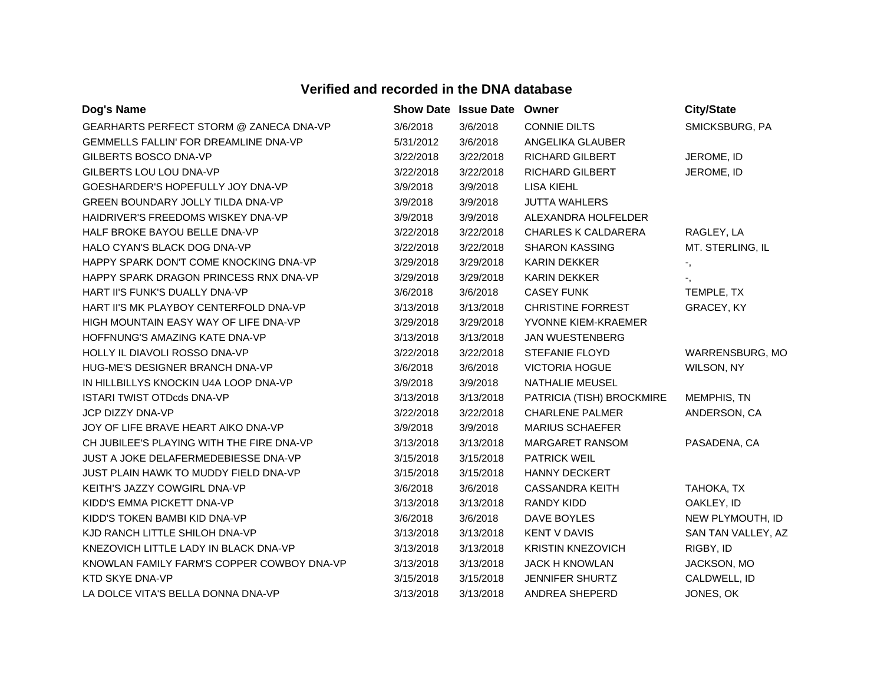| Dog's Name                                   |           | Show Date Issue Date Owner |                            | <b>City/State</b>          |
|----------------------------------------------|-----------|----------------------------|----------------------------|----------------------------|
| GEARHARTS PERFECT STORM @ ZANECA DNA-VP      | 3/6/2018  | 3/6/2018                   | <b>CONNIE DILTS</b>        | SMICKSBURG, PA             |
| <b>GEMMELLS FALLIN' FOR DREAMLINE DNA-VP</b> | 5/31/2012 | 3/6/2018                   | ANGELIKA GLAUBER           |                            |
| GILBERTS BOSCO DNA-VP                        | 3/22/2018 | 3/22/2018                  | RICHARD GILBERT            | JEROME, ID                 |
| GILBERTS LOU LOU DNA-VP                      | 3/22/2018 | 3/22/2018                  | RICHARD GILBERT            | JEROME, ID                 |
| GOESHARDER'S HOPEFULLY JOY DNA-VP            | 3/9/2018  | 3/9/2018                   | LISA KIEHL                 |                            |
| GREEN BOUNDARY JOLLY TILDA DNA-VP            | 3/9/2018  | 3/9/2018                   | <b>JUTTA WAHLERS</b>       |                            |
| HAIDRIVER'S FREEDOMS WISKEY DNA-VP           | 3/9/2018  | 3/9/2018                   | ALEXANDRA HOLFELDER        |                            |
| HALF BROKE BAYOU BELLE DNA-VP                | 3/22/2018 | 3/22/2018                  | <b>CHARLES K CALDARERA</b> | RAGLEY, LA                 |
| HALO CYAN'S BLACK DOG DNA-VP                 | 3/22/2018 | 3/22/2018                  | <b>SHARON KASSING</b>      | MT. STERLING, IL           |
| HAPPY SPARK DON'T COME KNOCKING DNA-VP       | 3/29/2018 | 3/29/2018                  | <b>KARIN DEKKER</b>        | $\overline{\phantom{a}}$ , |
| HAPPY SPARK DRAGON PRINCESS RNX DNA-VP       | 3/29/2018 | 3/29/2018                  | KARIN DEKKER               | ۰,                         |
| HART II'S FUNK'S DUALLY DNA-VP               | 3/6/2018  | 3/6/2018                   | <b>CASEY FUNK</b>          | TEMPLE, TX                 |
| HART II'S MK PLAYBOY CENTERFOLD DNA-VP       | 3/13/2018 | 3/13/2018                  | <b>CHRISTINE FORREST</b>   | GRACEY, KY                 |
| HIGH MOUNTAIN EASY WAY OF LIFE DNA-VP        | 3/29/2018 | 3/29/2018                  | YVONNE KIEM-KRAEMER        |                            |
| HOFFNUNG'S AMAZING KATE DNA-VP               | 3/13/2018 | 3/13/2018                  | <b>JAN WUESTENBERG</b>     |                            |
| HOLLY IL DIAVOLI ROSSO DNA-VP                | 3/22/2018 | 3/22/2018                  | STEFANIE FLOYD             | <b>WARRENSBURG, MO</b>     |
| HUG-ME'S DESIGNER BRANCH DNA-VP              | 3/6/2018  | 3/6/2018                   | <b>VICTORIA HOGUE</b>      | WILSON, NY                 |
| IN HILLBILLYS KNOCKIN U4A LOOP DNA-VP        | 3/9/2018  | 3/9/2018                   | NATHALIE MEUSEL            |                            |
| <b>ISTARI TWIST OTDcds DNA-VP</b>            | 3/13/2018 | 3/13/2018                  | PATRICIA (TISH) BROCKMIRE  | MEMPHIS, TN                |
| JCP DIZZY DNA-VP                             | 3/22/2018 | 3/22/2018                  | <b>CHARLENE PALMER</b>     | ANDERSON, CA               |
| JOY OF LIFE BRAVE HEART AIKO DNA-VP          | 3/9/2018  | 3/9/2018                   | MARIUS SCHAEFER            |                            |
| CH JUBILEE'S PLAYING WITH THE FIRE DNA-VP    | 3/13/2018 | 3/13/2018                  | MARGARET RANSOM            | PASADENA, CA               |
| JUST A JOKE DELAFERMEDEBIESSE DNA-VP         | 3/15/2018 | 3/15/2018                  | <b>PATRICK WEIL</b>        |                            |
| JUST PLAIN HAWK TO MUDDY FIELD DNA-VP        | 3/15/2018 | 3/15/2018                  | HANNY DECKERT              |                            |
| KEITH'S JAZZY COWGIRL DNA-VP                 | 3/6/2018  | 3/6/2018                   | <b>CASSANDRA KEITH</b>     | TAHOKA, TX                 |
| KIDD'S EMMA PICKETT DNA-VP                   | 3/13/2018 | 3/13/2018                  | <b>RANDY KIDD</b>          | OAKLEY, ID                 |
| KIDD'S TOKEN BAMBI KID DNA-VP                | 3/6/2018  | 3/6/2018                   | DAVE BOYLES                | NEW PLYMOUTH, ID           |
| KJD RANCH LITTLE SHILOH DNA-VP               | 3/13/2018 | 3/13/2018                  | <b>KENT V DAVIS</b>        | SAN TAN VALLEY, AZ         |
| KNEZOVICH LITTLE LADY IN BLACK DNA-VP        | 3/13/2018 | 3/13/2018                  | <b>KRISTIN KNEZOVICH</b>   | RIGBY, ID                  |
| KNOWLAN FAMILY FARM'S COPPER COWBOY DNA-VP   | 3/13/2018 | 3/13/2018                  | <b>JACK H KNOWLAN</b>      | JACKSON, MO                |
| KTD SKYE DNA-VP                              | 3/15/2018 | 3/15/2018                  | <b>JENNIFER SHURTZ</b>     | CALDWELL, ID               |
| LA DOLCE VITA'S BELLA DONNA DNA-VP           | 3/13/2018 | 3/13/2018                  | ANDREA SHEPERD             | JONES, OK                  |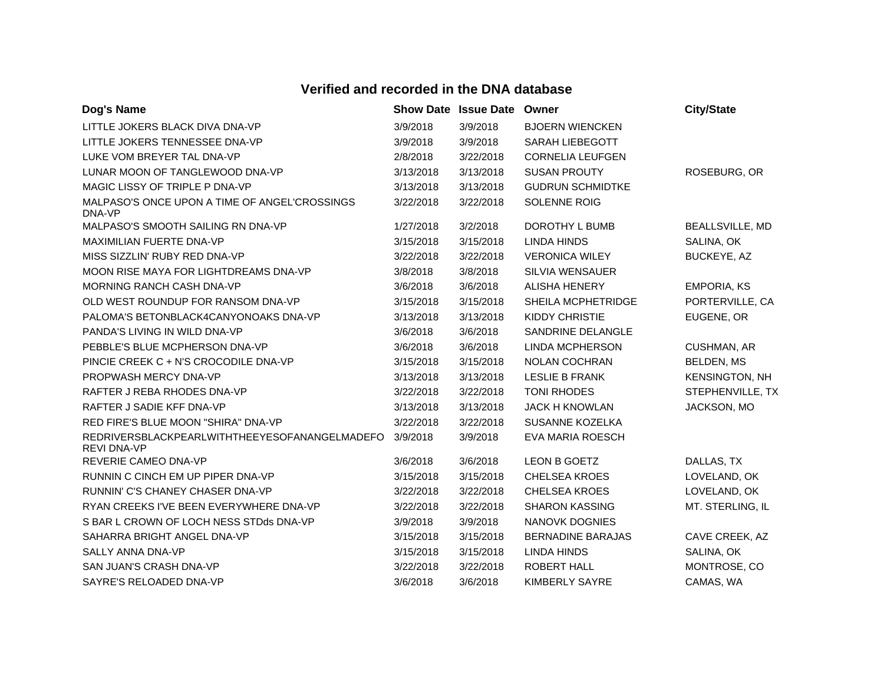| Dog's Name                                                          |           | <b>Show Date Issue Date</b> | Owner                    | <b>City/State</b>     |
|---------------------------------------------------------------------|-----------|-----------------------------|--------------------------|-----------------------|
| LITTLE JOKERS BLACK DIVA DNA-VP                                     | 3/9/2018  | 3/9/2018                    | <b>BJOERN WIENCKEN</b>   |                       |
| LITTLE JOKERS TENNESSEE DNA-VP                                      | 3/9/2018  | 3/9/2018                    | SARAH LIEBEGOTT          |                       |
| LUKE VOM BREYER TAL DNA-VP                                          | 2/8/2018  | 3/22/2018                   | <b>CORNELIA LEUFGEN</b>  |                       |
| LUNAR MOON OF TANGLEWOOD DNA-VP                                     | 3/13/2018 | 3/13/2018                   | <b>SUSAN PROUTY</b>      | ROSEBURG, OR          |
| MAGIC LISSY OF TRIPLE P DNA-VP                                      | 3/13/2018 | 3/13/2018                   | <b>GUDRUN SCHMIDTKE</b>  |                       |
| MALPASO'S ONCE UPON A TIME OF ANGEL'CROSSINGS<br>DNA-VP             | 3/22/2018 | 3/22/2018                   | SOLENNE ROIG             |                       |
| MALPASO'S SMOOTH SAILING RN DNA-VP                                  | 1/27/2018 | 3/2/2018                    | DOROTHY L BUMB           | BEALLSVILLE, MD       |
| MAXIMILIAN FUERTE DNA-VP                                            | 3/15/2018 | 3/15/2018                   | <b>LINDA HINDS</b>       | SALINA, OK            |
| MISS SIZZLIN' RUBY RED DNA-VP                                       | 3/22/2018 | 3/22/2018                   | <b>VERONICA WILEY</b>    | BUCKEYE, AZ           |
| MOON RISE MAYA FOR LIGHTDREAMS DNA-VP                               | 3/8/2018  | 3/8/2018                    | SILVIA WENSAUER          |                       |
| MORNING RANCH CASH DNA-VP                                           | 3/6/2018  | 3/6/2018                    | <b>ALISHA HENERY</b>     | <b>EMPORIA, KS</b>    |
| OLD WEST ROUNDUP FOR RANSOM DNA-VP                                  | 3/15/2018 | 3/15/2018                   | SHEILA MCPHETRIDGE       | PORTERVILLE, CA       |
| PALOMA'S BETONBLACK4CANYONOAKS DNA-VP                               | 3/13/2018 | 3/13/2018                   | <b>KIDDY CHRISTIE</b>    | EUGENE, OR            |
| PANDA'S LIVING IN WILD DNA-VP                                       | 3/6/2018  | 3/6/2018                    | SANDRINE DELANGLE        |                       |
| PEBBLE'S BLUE MCPHERSON DNA-VP                                      | 3/6/2018  | 3/6/2018                    | <b>LINDA MCPHERSON</b>   | CUSHMAN, AR           |
| PINCIE CREEK C + N'S CROCODILE DNA-VP                               | 3/15/2018 | 3/15/2018                   | <b>NOLAN COCHRAN</b>     | <b>BELDEN, MS</b>     |
| PROPWASH MERCY DNA-VP                                               | 3/13/2018 | 3/13/2018                   | <b>LESLIE B FRANK</b>    | <b>KENSINGTON, NH</b> |
| RAFTER J REBA RHODES DNA-VP                                         | 3/22/2018 | 3/22/2018                   | <b>TONI RHODES</b>       | STEPHENVILLE, TX      |
| RAFTER J SADIE KFF DNA-VP                                           | 3/13/2018 | 3/13/2018                   | <b>JACK H KNOWLAN</b>    | JACKSON, MO           |
| RED FIRE'S BLUE MOON "SHIRA" DNA-VP                                 | 3/22/2018 | 3/22/2018                   | SUSANNE KOZELKA          |                       |
| REDRIVERSBLACKPEARLWITHTHEEYESOFANANGELMADEFO<br><b>REVI DNA-VP</b> | 3/9/2018  | 3/9/2018                    | EVA MARIA ROESCH         |                       |
| REVERIE CAMEO DNA-VP                                                | 3/6/2018  | 3/6/2018                    | LEON B GOETZ             | DALLAS, TX            |
| RUNNIN C CINCH EM UP PIPER DNA-VP                                   | 3/15/2018 | 3/15/2018                   | <b>CHELSEA KROES</b>     | LOVELAND, OK          |
| RUNNIN' C'S CHANEY CHASER DNA-VP                                    | 3/22/2018 | 3/22/2018                   | <b>CHELSEA KROES</b>     | LOVELAND, OK          |
| RYAN CREEKS I'VE BEEN EVERYWHERE DNA-VP                             | 3/22/2018 | 3/22/2018                   | <b>SHARON KASSING</b>    | MT. STERLING, IL      |
| S BAR L CROWN OF LOCH NESS STDds DNA-VP                             | 3/9/2018  | 3/9/2018                    | <b>NANOVK DOGNIES</b>    |                       |
| SAHARRA BRIGHT ANGEL DNA-VP                                         | 3/15/2018 | 3/15/2018                   | <b>BERNADINE BARAJAS</b> | CAVE CREEK, AZ        |
| SALLY ANNA DNA-VP                                                   | 3/15/2018 | 3/15/2018                   | <b>LINDA HINDS</b>       | SALINA, OK            |
| SAN JUAN'S CRASH DNA-VP                                             | 3/22/2018 | 3/22/2018                   | <b>ROBERT HALL</b>       | MONTROSE, CO          |
| SAYRE'S RELOADED DNA-VP                                             | 3/6/2018  | 3/6/2018                    | <b>KIMBERLY SAYRE</b>    | CAMAS, WA             |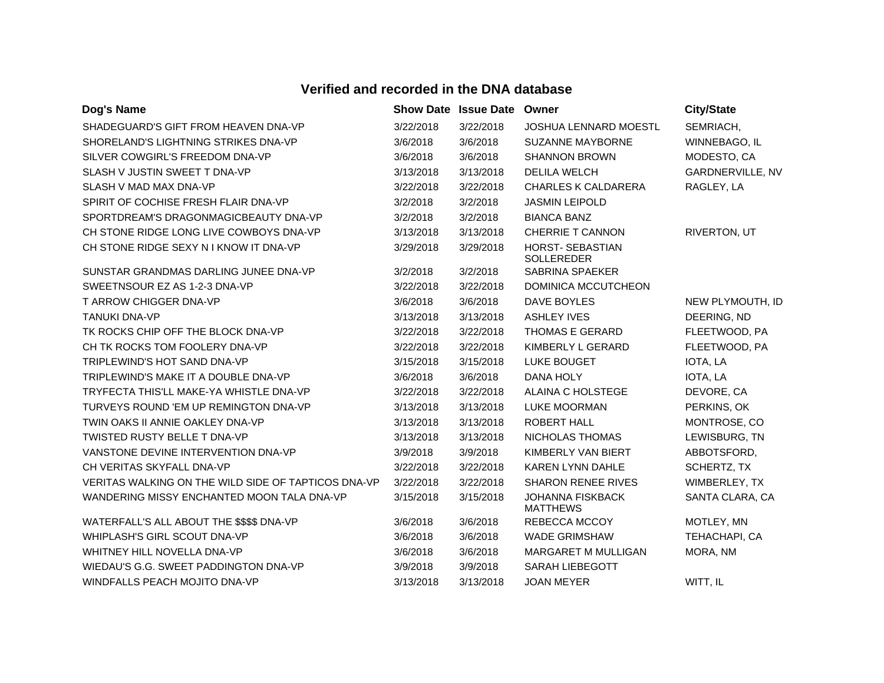| Dog's Name                                          |           | <b>Show Date Issue Date Owner</b> |                                            | <b>City/State</b>       |
|-----------------------------------------------------|-----------|-----------------------------------|--------------------------------------------|-------------------------|
| SHADEGUARD'S GIFT FROM HEAVEN DNA-VP                | 3/22/2018 | 3/22/2018                         | <b>JOSHUA LENNARD MOESTL</b>               | SEMRIACH,               |
| SHORELAND'S LIGHTNING STRIKES DNA-VP                | 3/6/2018  | 3/6/2018                          | <b>SUZANNE MAYBORNE</b>                    | WINNEBAGO, IL           |
| SILVER COWGIRL'S FREEDOM DNA-VP                     | 3/6/2018  | 3/6/2018                          | <b>SHANNON BROWN</b>                       | MODESTO, CA             |
| SLASH V JUSTIN SWEET T DNA-VP                       | 3/13/2018 | 3/13/2018                         | <b>DELILA WELCH</b>                        | <b>GARDNERVILLE, NV</b> |
| SLASH V MAD MAX DNA-VP                              | 3/22/2018 | 3/22/2018                         | <b>CHARLES K CALDARERA</b>                 | RAGLEY, LA              |
| SPIRIT OF COCHISE FRESH FLAIR DNA-VP                | 3/2/2018  | 3/2/2018                          | <b>JASMIN LEIPOLD</b>                      |                         |
| SPORTDREAM'S DRAGONMAGICBEAUTY DNA-VP               | 3/2/2018  | 3/2/2018                          | <b>BIANCA BANZ</b>                         |                         |
| CH STONE RIDGE LONG LIVE COWBOYS DNA-VP             | 3/13/2018 | 3/13/2018                         | <b>CHERRIE T CANNON</b>                    | RIVERTON, UT            |
| CH STONE RIDGE SEXY N I KNOW IT DNA-VP              | 3/29/2018 | 3/29/2018                         | HORST- SEBASTIAN<br>SOLLEREDER             |                         |
| SUNSTAR GRANDMAS DARLING JUNEE DNA-VP               | 3/2/2018  | 3/2/2018                          | <b>SABRINA SPAEKER</b>                     |                         |
| SWEETNSOUR EZ AS 1-2-3 DNA-VP                       | 3/22/2018 | 3/22/2018                         | DOMINICA MCCUTCHEON                        |                         |
| T ARROW CHIGGER DNA-VP                              | 3/6/2018  | 3/6/2018                          | DAVE BOYLES                                | NEW PLYMOUTH, ID        |
| <b>TANUKI DNA-VP</b>                                | 3/13/2018 | 3/13/2018                         | <b>ASHLEY IVES</b>                         | DEERING, ND             |
| TK ROCKS CHIP OFF THE BLOCK DNA-VP                  | 3/22/2018 | 3/22/2018                         | THOMAS E GERARD                            | FLEETWOOD, PA           |
| CH TK ROCKS TOM FOOLERY DNA-VP                      | 3/22/2018 | 3/22/2018                         | KIMBERLY L GERARD                          | FLEETWOOD, PA           |
| TRIPLEWIND'S HOT SAND DNA-VP                        | 3/15/2018 | 3/15/2018                         | <b>LUKE BOUGET</b>                         | IOTA, LA                |
| TRIPLEWIND'S MAKE IT A DOUBLE DNA-VP                | 3/6/2018  | 3/6/2018                          | DANA HOLY                                  | IOTA, LA                |
| TRYFECTA THIS'LL MAKE-YA WHISTLE DNA-VP             | 3/22/2018 | 3/22/2018                         | ALAINA C HOLSTEGE                          | DEVORE, CA              |
| TURVEYS ROUND 'EM UP REMINGTON DNA-VP               | 3/13/2018 | 3/13/2018                         | <b>LUKE MOORMAN</b>                        | PERKINS, OK             |
| TWIN OAKS II ANNIE OAKLEY DNA-VP                    | 3/13/2018 | 3/13/2018                         | <b>ROBERT HALL</b>                         | MONTROSE, CO            |
| <b>TWISTED RUSTY BELLE T DNA-VP</b>                 | 3/13/2018 | 3/13/2018                         | NICHOLAS THOMAS                            | LEWISBURG, TN           |
| VANSTONE DEVINE INTERVENTION DNA-VP                 | 3/9/2018  | 3/9/2018                          | KIMBERLY VAN BIERT                         | ABBOTSFORD,             |
| CH VERITAS SKYFALL DNA-VP                           | 3/22/2018 | 3/22/2018                         | KAREN LYNN DAHLE                           | SCHERTZ, TX             |
| VERITAS WALKING ON THE WILD SIDE OF TAPTICOS DNA-VP | 3/22/2018 | 3/22/2018                         | <b>SHARON RENEE RIVES</b>                  | WIMBERLEY, TX           |
| WANDERING MISSY ENCHANTED MOON TALA DNA-VP          | 3/15/2018 | 3/15/2018                         | <b>JOHANNA FISKBACK</b><br><b>MATTHEWS</b> | SANTA CLARA, CA         |
| WATERFALL'S ALL ABOUT THE \$\$\$\$ DNA-VP           | 3/6/2018  | 3/6/2018                          | REBECCA MCCOY                              | MOTLEY, MN              |
| WHIPLASH'S GIRL SCOUT DNA-VP                        | 3/6/2018  | 3/6/2018                          | <b>WADE GRIMSHAW</b>                       | TEHACHAPI, CA           |
| WHITNEY HILL NOVELLA DNA-VP                         | 3/6/2018  | 3/6/2018                          | MARGARET M MULLIGAN                        | MORA, NM                |
| WIEDAU'S G.G. SWEET PADDINGTON DNA-VP               | 3/9/2018  | 3/9/2018                          | <b>SARAH LIEBEGOTT</b>                     |                         |
| WINDFALLS PEACH MOJITO DNA-VP                       | 3/13/2018 | 3/13/2018                         | <b>JOAN MEYER</b>                          | WITT, IL                |